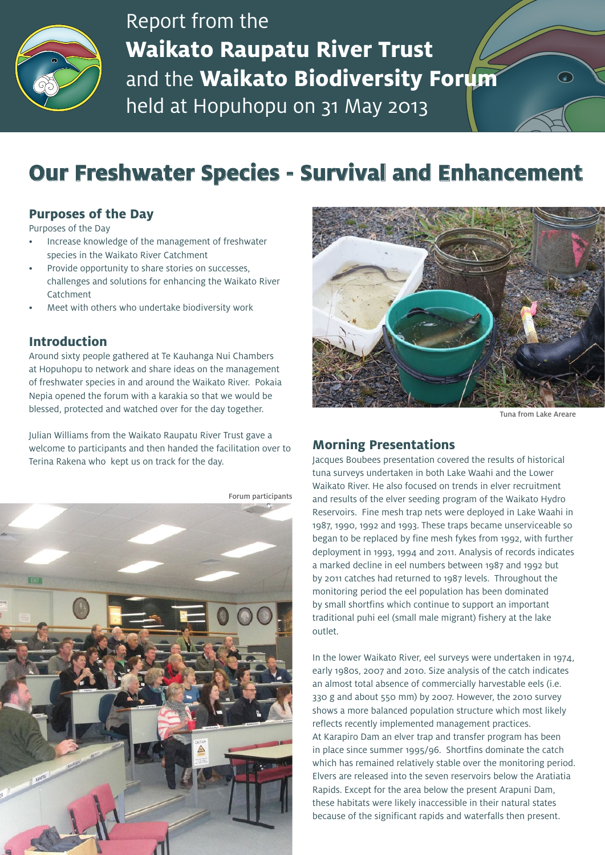

Report from the **Waikato Raupatu River Trust** and the **Waikato Biodiversity Forum** held at Hopuhopu on 31 May 2013

# **Our Freshwater Species - Survival and Enhancement**

# **Purposes of the Day**

Purposes of the Day

- Increase knowledge of the management of freshwater species in the Waikato River Catchment
- Provide opportunity to share stories on successes, challenges and solutions for enhancing the Waikato River Catchment
- Meet with others who undertake biodiversity work

## **Introduction**

Around sixty people gathered at Te Kauhanga Nui Chambers at Hopuhopu to network and share ideas on the management of freshwater species in and around the Waikato River. Pokaia Nepia opened the forum with a karakia so that we would be blessed, protected and watched over for the day together.

Julian Williams from the Waikato Raupatu River Trust gave a welcome to participants and then handed the facilitation over to Terina Rakena who kept us on track for the day.

Forum participants546



Tuna from Lake Areare

 $\curvearrowright$ 

## **Morning Presentations**

Jacques Boubees presentation covered the results of historical tuna surveys undertaken in both Lake Waahi and the Lower Waikato River. He also focused on trends in elver recruitment and results of the elver seeding program of the Waikato Hydro Reservoirs. Fine mesh trap nets were deployed in Lake Waahi in 1987, 1990, 1992 and 1993. These traps became unserviceable so began to be replaced by fine mesh fykes from 1992, with further deployment in 1993, 1994 and 2011. Analysis of records indicates a marked decline in eel numbers between 1987 and 1992 but by 2011 catches had returned to 1987 levels. Throughout the monitoring period the eel population has been dominated by small shortfins which continue to support an important traditional puhi eel (small male migrant) fishery at the lake outlet.

In the lower Waikato River, eel surveys were undertaken in 1974, early 1980s, 2007 and 2010. Size analysis of the catch indicates an almost total absence of commercially harvestable eels (i.e. 330 g and about 550 mm) by 2007. However, the 2010 survey shows a more balanced population structure which most likely reflects recently implemented management practices. At Karapiro Dam an elver trap and transfer program has been in place since summer 1995/96. Shortfins dominate the catch which has remained relatively stable over the monitoring period. Elvers are released into the seven reservoirs below the Aratiatia Rapids. Except for the area below the present Arapuni Dam, these habitats were likely inaccessible in their natural states because of the significant rapids and waterfalls then present.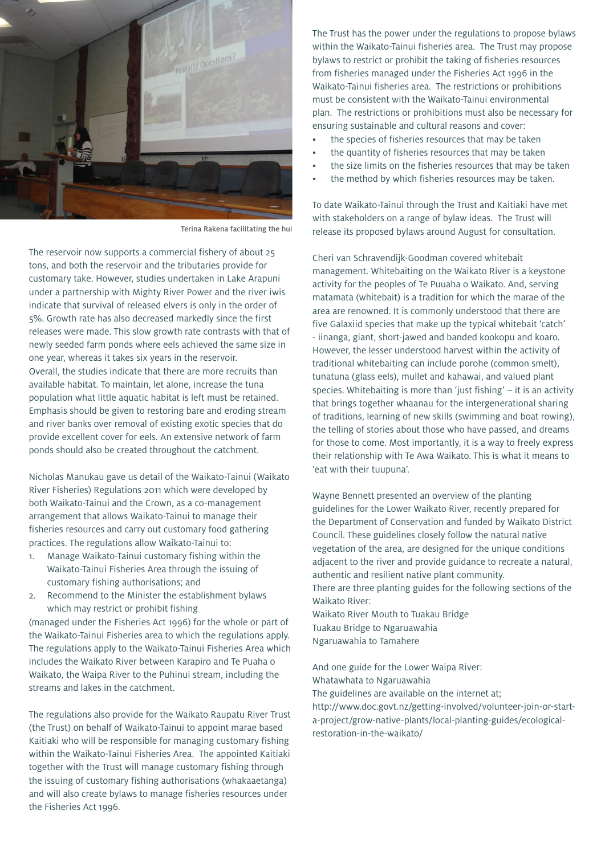

Terina Rakena facilitating the hui

The reservoir now supports a commercial fishery of about 25 tons, and both the reservoir and the tributaries provide for customary take. However, studies undertaken in Lake Arapuni under a partnership with Mighty River Power and the river iwis indicate that survival of released elvers is only in the order of 5%. Growth rate has also decreased markedly since the first releases were made. This slow growth rate contrasts with that of newly seeded farm ponds where eels achieved the same size in one year, whereas it takes six years in the reservoir. Overall, the studies indicate that there are more recruits than available habitat. To maintain, let alone, increase the tuna population what little aquatic habitat is left must be retained. Emphasis should be given to restoring bare and eroding stream and river banks over removal of existing exotic species that do provide excellent cover for eels. An extensive network of farm ponds should also be created throughout the catchment.

Nicholas Manukau gave us detail of the Waikato-Tainui (Waikato River Fisheries) Regulations 2011 which were developed by both Waikato-Tainui and the Crown, as a co-management arrangement that allows Waikato-Tainui to manage their fisheries resources and carry out customary food gathering practices. The regulations allow Waikato-Tainui to:

- 1. Manage Waikato-Tainui customary fishing within the Waikato-Tainui Fisheries Area through the issuing of customary fishing authorisations; and
- 2. Recommend to the Minister the establishment bylaws which may restrict or prohibit fishing

(managed under the Fisheries Act 1996) for the whole or part of the Waikato-Tainui Fisheries area to which the regulations apply. The regulations apply to the Waikato-Tainui Fisheries Area which includes the Waikato River between Karapiro and Te Puaha o Waikato, the Waipa River to the Puhinui stream, including the streams and lakes in the catchment.

The regulations also provide for the Waikato Raupatu River Trust (the Trust) on behalf of Waikato-Tainui to appoint marae based Kaitiaki who will be responsible for managing customary fishing within the Waikato-Tainui Fisheries Area. The appointed Kaitiaki together with the Trust will manage customary fishing through the issuing of customary fishing authorisations (whakaaetanga) and will also create bylaws to manage fisheries resources under the Fisheries Act 1996.

The Trust has the power under the regulations to propose bylaws within the Waikato-Tainui fisheries area. The Trust may propose bylaws to restrict or prohibit the taking of fisheries resources from fisheries managed under the Fisheries Act 1996 in the Waikato-Tainui fisheries area. The restrictions or prohibitions must be consistent with the Waikato-Tainui environmental plan. The restrictions or prohibitions must also be necessary for ensuring sustainable and cultural reasons and cover:

- the species of fisheries resources that may be taken
- the quantity of fisheries resources that may be taken
- the size limits on the fisheries resources that may be taken
- the method by which fisheries resources may be taken.

To date Waikato-Tainui through the Trust and Kaitiaki have met with stakeholders on a range of bylaw ideas. The Trust will release its proposed bylaws around August for consultation.

Cheri van Schravendijk-Goodman covered whitebait management. Whitebaiting on the Waikato River is a keystone activity for the peoples of Te Puuaha o Waikato. And, serving matamata (whitebait) is a tradition for which the marae of the area are renowned. It is commonly understood that there are five Galaxiid species that make up the typical whitebait 'catch' - iinanga, giant, short-jawed and banded kookopu and koaro. However, the lesser understood harvest within the activity of traditional whitebaiting can include porohe (common smelt), tunatuna (glass eels), mullet and kahawai, and valued plant species. Whitebaiting is more than 'just fishing' – it is an activity that brings together whaanau for the intergenerational sharing of traditions, learning of new skills (swimming and boat rowing), the telling of stories about those who have passed, and dreams for those to come. Most importantly, it is a way to freely express their relationship with Te Awa Waikato. This is what it means to 'eat with their tuupuna'.

Wayne Bennett presented an overview of the planting guidelines for the Lower Waikato River, recently prepared for the Department of Conservation and funded by Waikato District Council. These guidelines closely follow the natural native vegetation of the area, are designed for the unique conditions adjacent to the river and provide guidance to recreate a natural, authentic and resilient native plant community. There are three planting guides for the following sections of the Waikato River:

Waikato River Mouth to Tuakau Bridge Tuakau Bridge to Ngaruawahia Ngaruawahia to Tamahere

And one guide for the Lower Waipa River: Whatawhata to Ngaruawahia The guidelines are available on the internet at; http://www.doc.govt.nz/getting-involved/volunteer-join-or-starta-project/grow-native-plants/local-planting-guides/ecologicalrestoration-in-the-waikato/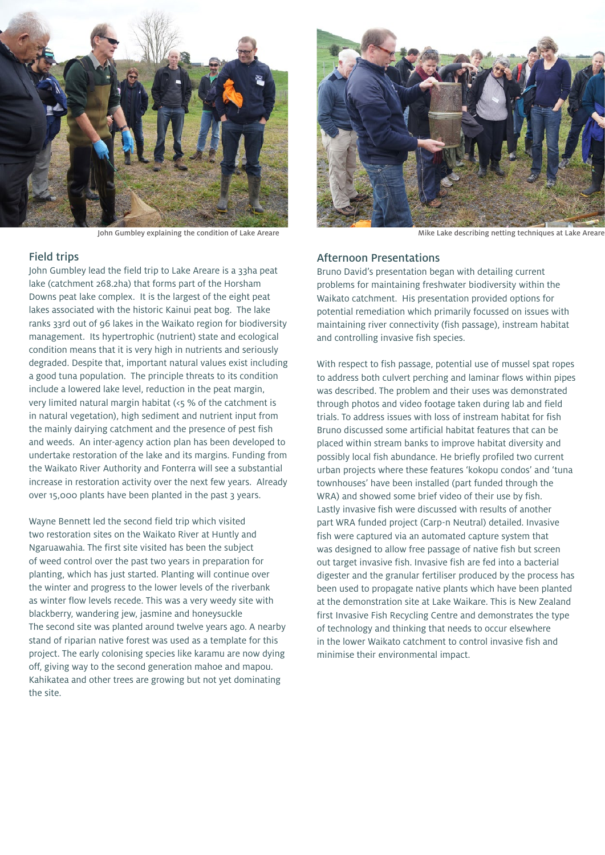

#### Field trips

John Gumbley lead the field trip to Lake Areare is a 33ha peat lake (catchment 268.2ha) that forms part of the Horsham Downs peat lake complex. It is the largest of the eight peat lakes associated with the historic Kainui peat bog. The lake ranks 33rd out of 96 lakes in the Waikato region for biodiversity management. Its hypertrophic (nutrient) state and ecological condition means that it is very high in nutrients and seriously degraded. Despite that, important natural values exist including a good tuna population. The principle threats to its condition include a lowered lake level, reduction in the peat margin, very limited natural margin habitat (<5 % of the catchment is in natural vegetation), high sediment and nutrient input from the mainly dairying catchment and the presence of pest fish and weeds. An inter-agency action plan has been developed to undertake restoration of the lake and its margins. Funding from the Waikato River Authority and Fonterra will see a substantial increase in restoration activity over the next few years. Already over 15,000 plants have been planted in the past 3 years.

Wayne Bennett led the second field trip which visited two restoration sites on the Waikato River at Huntly and Ngaruawahia. The first site visited has been the subject of weed control over the past two years in preparation for planting, which has just started. Planting will continue over the winter and progress to the lower levels of the riverbank as winter flow levels recede. This was a very weedy site with blackberry, wandering jew, jasmine and honeysuckle The second site was planted around twelve years ago. A nearby stand of riparian native forest was used as a template for this project. The early colonising species like karamu are now dying off, giving way to the second generation mahoe and mapou. Kahikatea and other trees are growing but not yet dominating the site.



John Gumbley explaining the condition of Lake Areare **Mike Lake Areas** Mike Lake describing netting techniques at Lake Areare

### Afternoon Presentations

Bruno David's presentation began with detailing current problems for maintaining freshwater biodiversity within the Waikato catchment. His presentation provided options for potential remediation which primarily focussed on issues with maintaining river connectivity (fish passage), instream habitat and controlling invasive fish species.

With respect to fish passage, potential use of mussel spat ropes to address both culvert perching and laminar flows within pipes was described. The problem and their uses was demonstrated through photos and video footage taken during lab and field trials. To address issues with loss of instream habitat for fish Bruno discussed some artificial habitat features that can be placed within stream banks to improve habitat diversity and possibly local fish abundance. He briefly profiled two current urban projects where these features 'kokopu condos' and 'tuna townhouses' have been installed (part funded through the WRA) and showed some brief video of their use by fish. Lastly invasive fish were discussed with results of another part WRA funded project (Carp-n Neutral) detailed. Invasive fish were captured via an automated capture system that was designed to allow free passage of native fish but screen out target invasive fish. Invasive fish are fed into a bacterial digester and the granular fertiliser produced by the process has been used to propagate native plants which have been planted at the demonstration site at Lake Waikare. This is New Zealand first Invasive Fish Recycling Centre and demonstrates the type of technology and thinking that needs to occur elsewhere in the lower Waikato catchment to control invasive fish and minimise their environmental impact.